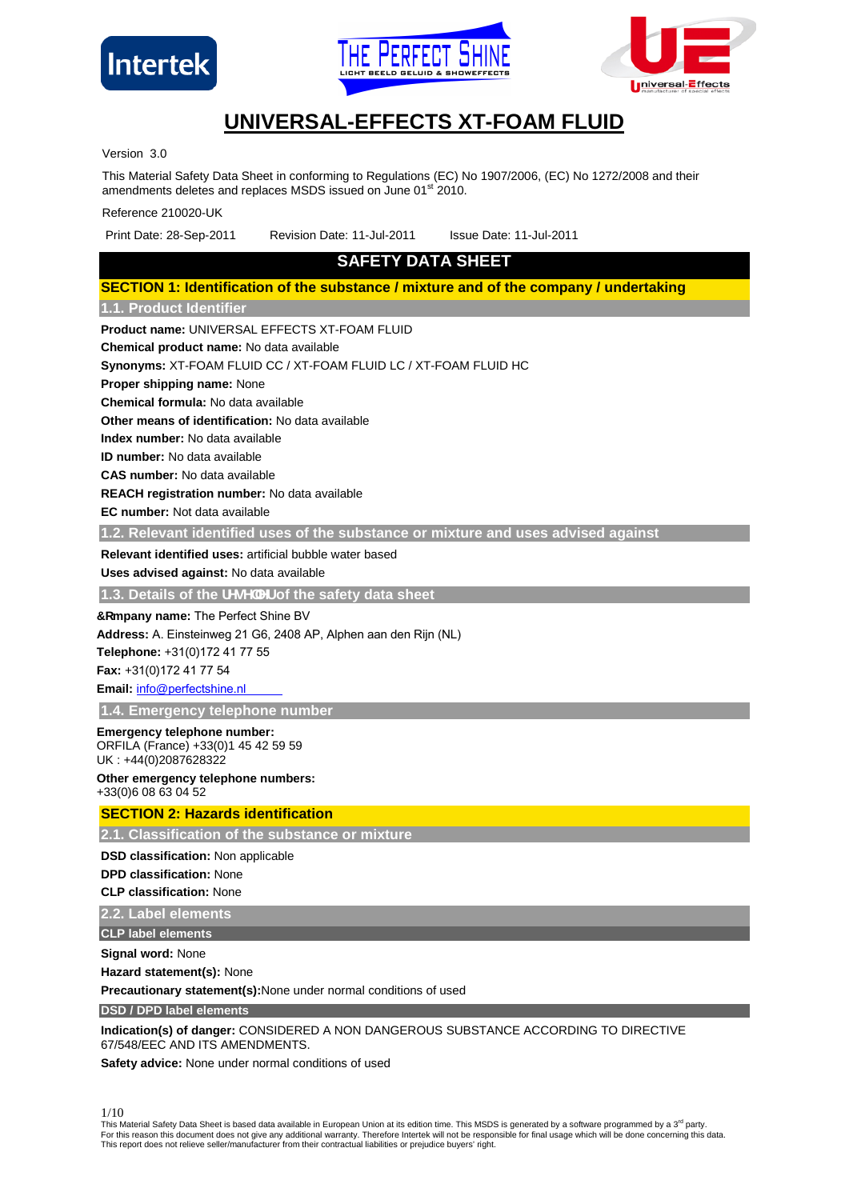





# **UNIVERSAL-EFFECTS XT-FOAM FLUID**

Version 3.0

This Material Safety Data Sheet in conforming to Regulations (EC) No 1907/2006, (EC) No 1272/2008 and their amendments deletes and replaces MSDS issued on June 01st 2010.

Reference 210020-UK

Print Date: 28-Sep-2011 Revision Date: 11-Jul-2011 Issue Date: 11-Jul-2011

# **SAFETY DATA SHEET**

# **SECTION 1: Identification of the substance / mixture and of the company / undertaking 1.1. Product Identifier**

**Product name:** UNIVERSAL EFFECTS XT-FOAM FLUID

**Chemical product name:** No data available

**Synonyms:** XT-FOAM FLUID CC / XT-FOAM FLUID LC / XT-FOAM FLUID HC

**Proper shipping name:** None

**Chemical formula:** No data available

**Other means of identification:** No data available

**Index number:** No data available

**ID number:** No data available

**CAS number:** No data available

**REACH registration number:** No data available

**EC number:** Not data available

**1.2. Relevant identified uses of the substance or mixture and uses advised against**

**Relevant identified uses:** artificial bubble water based

**Uses advised against:** No data available

**1.3. Details of the fYgY `Yf of the safety data sheet** 

**7 cmpany name:** The Perfect Shine BV

**Address:** A. Einsteinweg 21 G6, 2408 AP, Alphen aan den Rijn (NL)

**Telephone:** +31(0)172 41 77 55

**Fax:** +31(0)172 41 77 54

**Email:** info@[perfectshine.nl](mailto:info@universal-effects.com)

**1.4. Emergency telephone number**

### **Emergency telephone number:**

ORFILA (France) +33(0)1 45 42 59 59

UK : +44(0)2087628322 **Other emergency telephone numbers:**

+33(0)6 08 63 04 52

# **SECTION 2: Hazards identification**

**2.1. Classification of the substance or mixture**

**DSD classification:** Non applicable

**DPD classification:** None

**CLP classification:** None

**2.2. Label elements**

**CLP label elements**

**Signal word:** None

**Hazard statement(s):** None

**Precautionary statement(s):**None under normal conditions of used

**DSD / DPD label elements**

**Indication(s) of danger:** CONSIDERED A NON DANGEROUS SUBSTANCE ACCORDING TO DIRECTIVE 67/548/EEC AND ITS AMENDMENTS.

**Safety advice:** None under normal conditions of used

1/10

This Material Safety Data Sheet is based data available in European Union at its edition time. This MSDS is generated by a software programmed by a 3<sup>rd</sup> party. For this reason this document does not give any additional warranty. Therefore Intertek will not be responsible for final usage which will be done concerning this data.<br>This report does not relieve seller/manufacturer from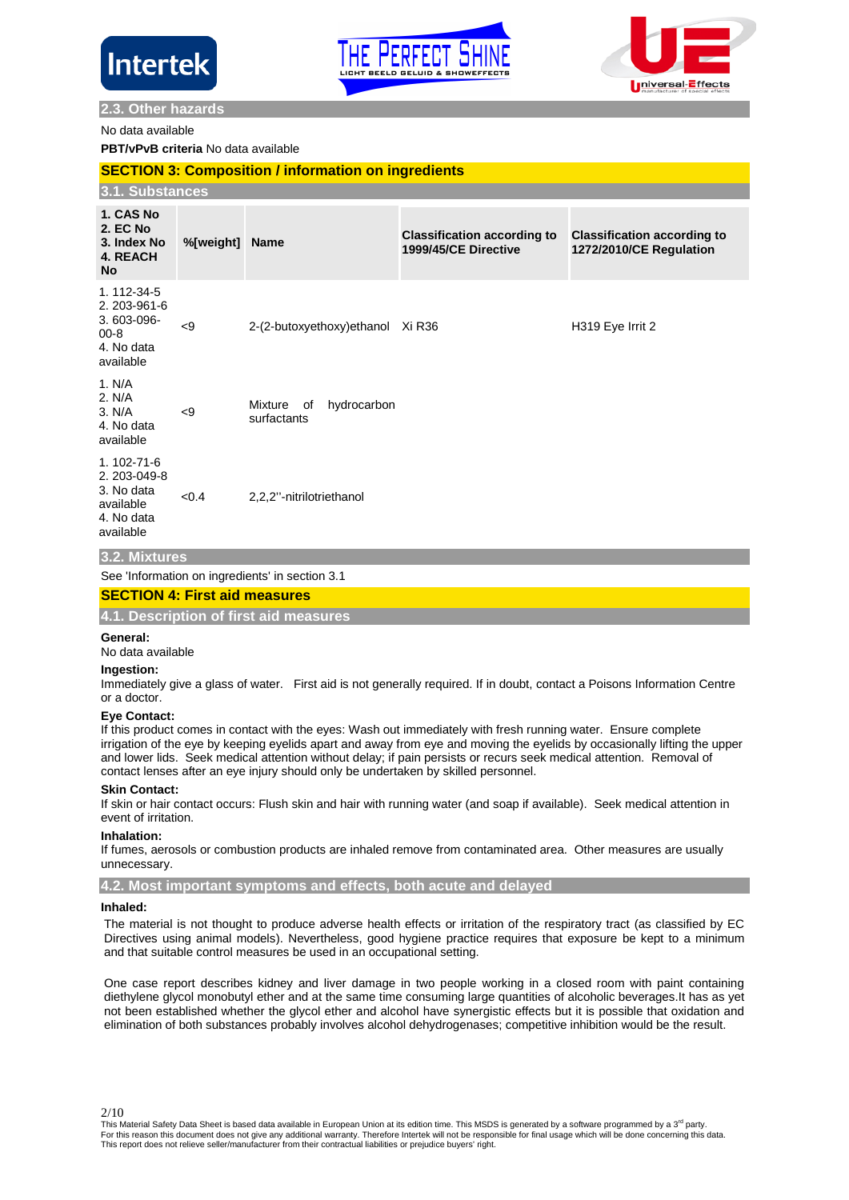





# **2.3. Other hazards**

No data available

# **PBT/vPvB criteria** No data available

### **SECTION 3: Composition / information on ingredients**

|                                                                                  | 3.1. Substances |                                             |                                                            |                                                               |  |
|----------------------------------------------------------------------------------|-----------------|---------------------------------------------|------------------------------------------------------------|---------------------------------------------------------------|--|
| 1. CAS No<br><b>2. EC No</b><br>3. Index No<br>4. REACH<br><b>No</b>             | %[weight] Name  |                                             | <b>Classification according to</b><br>1999/45/CE Directive | <b>Classification according to</b><br>1272/2010/CE Regulation |  |
| 1.112-34-5<br>2. 203-961-6<br>3.603-096-<br>$00 - 8$<br>4. No data<br>available  | < 9             | 2-(2-butoxyethoxy)ethanol                   | Xi R36                                                     | H319 Eye Irrit 2                                              |  |
| 1. N/A<br>2. N/A<br>3. N/A<br>4. No data<br>available                            | < 9             | hydrocarbon<br>Mixture<br>of<br>surfactants |                                                            |                                                               |  |
| 1.102-71-6<br>2. 203-049-8<br>3. No data<br>available<br>4. No data<br>available | < 0.4           | 2,2,2"-nitrilotriethanol                    |                                                            |                                                               |  |

# **3.2. Mixtures**

See 'Information on ingredients' in section 3.1

# **SECTION 4: First aid measures**

**4.1. Description of first aid measures**

#### **General:**

No data available

#### **Ingestion:**

Immediately give a glass of water. First aid is not generally required. If in doubt, contact a Poisons Information Centre or a doctor.

#### **Eye Contact:**

If this product comes in contact with the eyes: Wash out immediately with fresh running water. Ensure complete irrigation of the eye by keeping eyelids apart and away from eye and moving the eyelids by occasionally lifting the upper and lower lids. Seek medical attention without delay; if pain persists or recurs seek medical attention. Removal of contact lenses after an eye injury should only be undertaken by skilled personnel.

#### **Skin Contact:**

If skin or hair contact occurs: Flush skin and hair with running water (and soap if available). Seek medical attention in event of irritation.

### **Inhalation:**

If fumes, aerosols or combustion products are inhaled remove from contaminated area. Other measures are usually unnecessary.

# **4.2. Most important symptoms and effects, both acute and delayed**

# **Inhaled:**

The material is not thought to produce adverse health effects or irritation of the respiratory tract (as classified by EC Directives using animal models). Nevertheless, good hygiene practice requires that exposure be kept to a minimum and that suitable control measures be used in an occupational setting.

One case report describes kidney and liver damage in two people working in a closed room with paint containing diethylene glycol monobutyl ether and at the same time consuming large quantities of alcoholic beverages.It has as yet not been established whether the glycol ether and alcohol have synergistic effects but it is possible that oxidation and elimination of both substances probably involves alcohol dehydrogenases; competitive inhibition would be the result.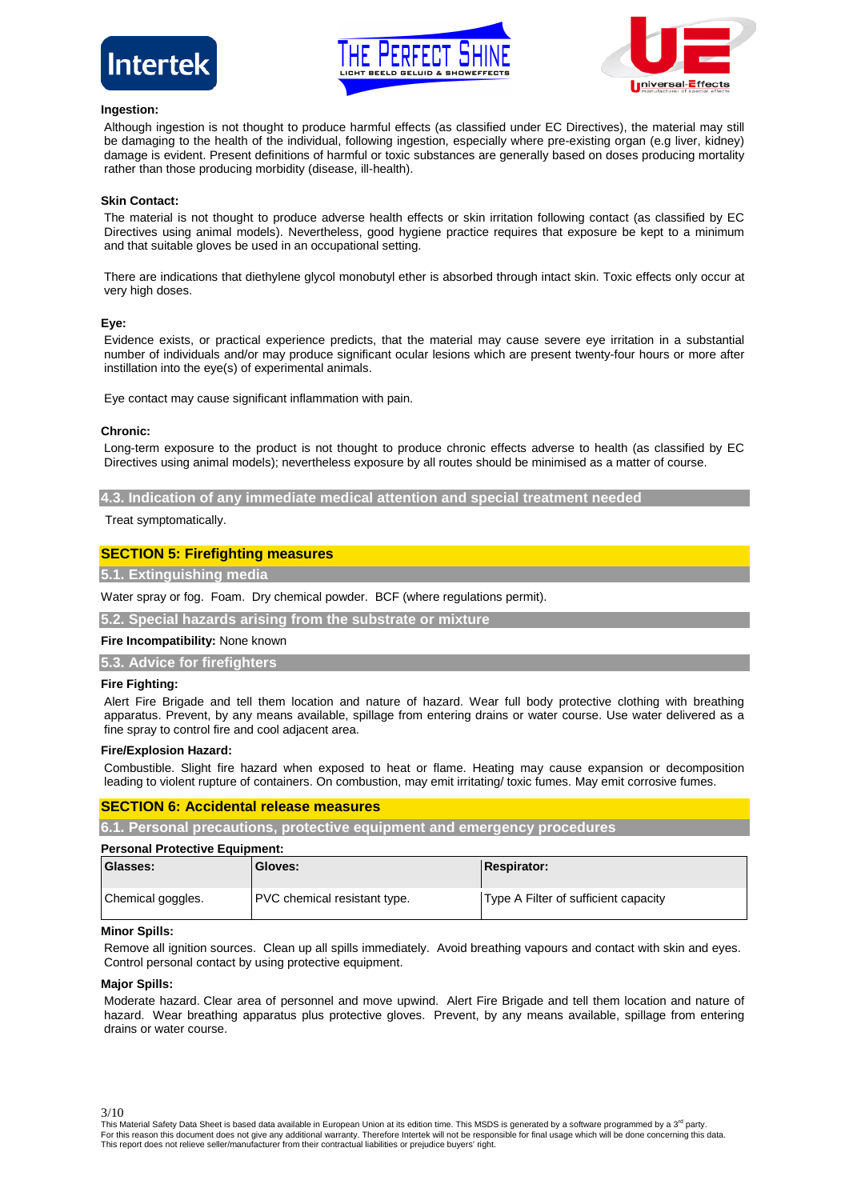





### **Ingestion:**

Although ingestion is not thought to produce harmful effects (as classified under EC Directives), the material may still be damaging to the health of the individual, following ingestion, especially where pre-existing organ (e.g liver, kidney) damage is evident. Present definitions of harmful or toxic substances are generally based on doses producing mortality rather than those producing morbidity (disease, ill-health).

### **Skin Contact:**

The material is not thought to produce adverse health effects or skin irritation following contact (as classified by EC Directives using animal models). Nevertheless, good hygiene practice requires that exposure be kept to a minimum and that suitable gloves be used in an occupational setting.

There are indications that diethylene glycol monobutyl ether is absorbed through intact skin. Toxic effects only occur at very high doses.

#### **Eye:**

Evidence exists, or practical experience predicts, that the material may cause severe eye irritation in a substantial number of individuals and/or may produce significant ocular lesions which are present twenty-four hours or more after instillation into the eye(s) of experimental animals.

Eye contact may cause significant inflammation with pain.

### **Chronic:**

Long-term exposure to the product is not thought to produce chronic effects adverse to health (as classified by EC Directives using animal models); nevertheless exposure by all routes should be minimised as a matter of course.

**4.3. Indication of any immediate medical attention and special treatment needed**

Treat symptomatically.

# **SECTION 5: Firefighting measures**

**5.1. Extinguishing media**

Water spray or fog. Foam. Dry chemical powder. BCF (where regulations permit).

**5.2. Special hazards arising from the substrate or mixture**

### **Fire Incompatibility:** None known

**5.3. Advice for firefighters**

#### **Fire Fighting:**

Alert Fire Brigade and tell them location and nature of hazard. Wear full body protective clothing with breathing apparatus. Prevent, by any means available, spillage from entering drains or water course. Use water delivered as a fine spray to control fire and cool adjacent area.

#### **Fire/Explosion Hazard:**

Combustible. Slight fire hazard when exposed to heat or flame. Heating may cause expansion or decomposition leading to violent rupture of containers. On combustion, may emit irritating/ toxic fumes. May emit corrosive fumes.

### **SECTION 6: Accidental release measures**

**6.1. Personal precautions, protective equipment and emergency procedures**

| <b>Personal Protective Equipment:</b> |                                     |                                      |  |  |
|---------------------------------------|-------------------------------------|--------------------------------------|--|--|
| Glasses:                              | <b>Gloves:</b>                      | <b>Respirator:</b>                   |  |  |
| Chemical goggles.                     | <b>PVC</b> chemical resistant type. | Type A Filter of sufficient capacity |  |  |

### **Minor Spills:**

Remove all ignition sources. Clean up all spills immediately. Avoid breathing vapours and contact with skin and eyes. Control personal contact by using protective equipment.

#### **Major Spills:**

3/10

Moderate hazard. Clear area of personnel and move upwind. Alert Fire Brigade and tell them location and nature of hazard. Wear breathing apparatus plus protective gloves. Prevent, by any means available, spillage from entering drains or water course.

This Material Safety Data Sheet is based data available in European Union at its edition time. This MSDS is generated by a software programmed by a 3<sup>rd</sup> party. For this reason this document does not give any additional warranty. Therefore Intertek will not be responsible for final usage which will be done concerning this data.<br>This report does not relieve seller/manufacturer from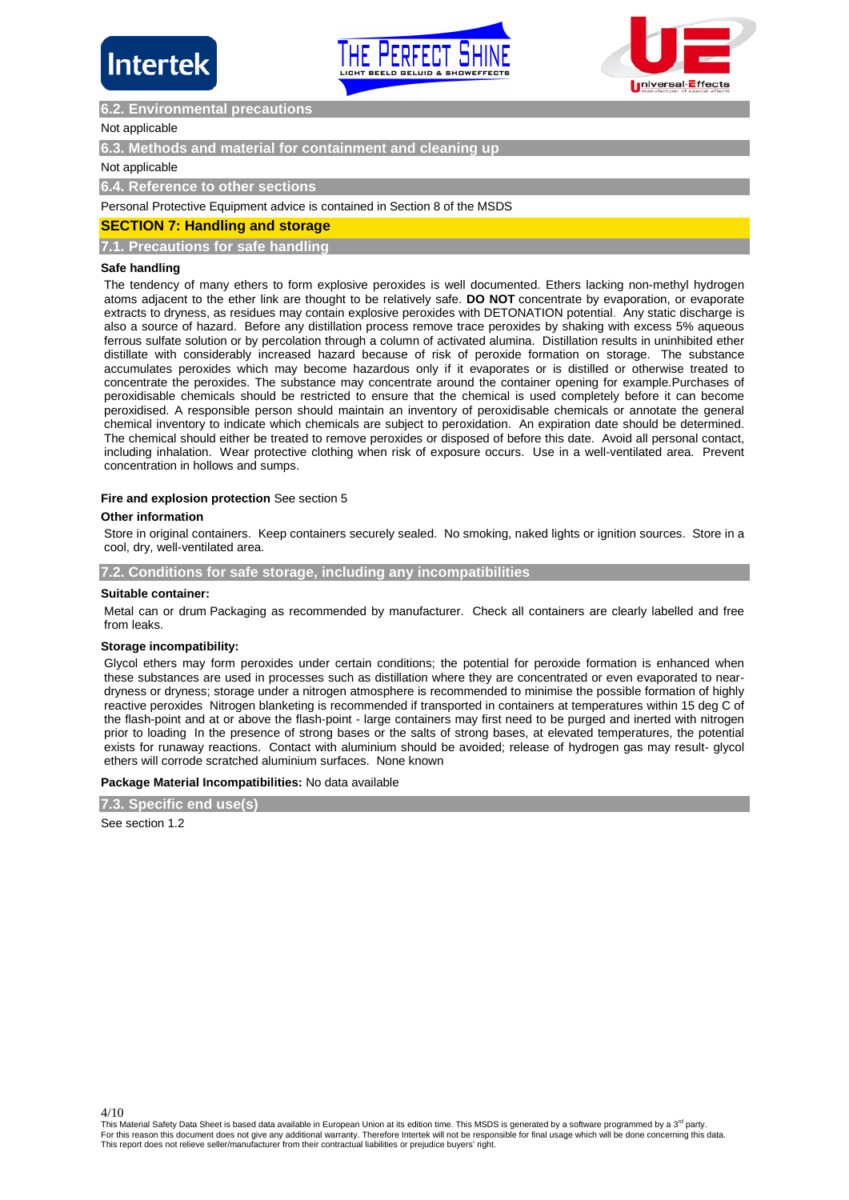





# **6.2. Environmental precautions**

### Not applicable

**6.3. Methods and material for containment and** 

### Not applicable

**6.4. Reference to other sections**

Personal Protective Equipment advice is contained in Section 8 of the MSDS

# **SECTION 7: Handling and storage**

**7.1. Precautions for safe handling**

### **Safe handling**

The tendency of many ethers to form explosive peroxides is well documented. Ethers lacking non-methyl hydrogen atoms adjacent to the ether link are thought to be relatively safe. **DO NOT** concentrate by evaporation, or evaporate extracts to dryness, as residues may contain explosive peroxides with DETONATION potential. Any static discharge is also a source of hazard. Before any distillation process remove trace peroxides by shaking with excess 5% aqueous ferrous sulfate solution or by percolation through a column of activated alumina. Distillation results in uninhibited ether distillate with considerably increased hazard because of risk of peroxide formation on storage. The substance accumulates peroxides which may become hazardous only if it evaporates or is distilled or otherwise treated to concentrate the peroxides. The substance may concentrate around the container opening for example.Purchases of peroxidisable chemicals should be restricted to ensure that the chemical is used completely before it can become peroxidised. A responsible person should maintain an inventory of peroxidisable chemicals or annotate the general chemical inventory to indicate which chemicals are subject to peroxidation. An expiration date should be determined. The chemical should either be treated to remove peroxides or disposed of before this date. Avoid all personal contact, including inhalation. Wear protective clothing when risk of exposure occurs. Use in a well-ventilated area. Prevent concentration in hollows and sumps.

#### **Fire and explosion protection** See section 5

#### **Other information**

Store in original containers. Keep containers securely sealed. No smoking, naked lights or ignition sources. Store in a cool, dry, well-ventilated area.

**7.2. Conditions for safe storage, including any incompatibilities**

#### **Suitable container:**

Metal can or drum Packaging as recommended by manufacturer. Check all containers are clearly labelled and free from leaks.

#### **Storage incompatibility:**

Glycol ethers may form peroxides under certain conditions; the potential for peroxide formation is enhanced when these substances are used in processes such as distillation where they are concentrated or even evaporated to neardryness or dryness; storage under a nitrogen atmosphere is recommended to minimise the possible formation of highly reactive peroxides Nitrogen blanketing is recommended if transported in containers at temperatures within 15 deg C of the flash-point and at or above the flash-point - large containers may first need to be purged and inerted with nitrogen prior to loading In the presence of strong bases or the salts of strong bases, at elevated temperatures, the potential exists for runaway reactions. Contact with aluminium should be avoided; release of hydrogen gas may result- glycol ethers will corrode scratched aluminium surfaces. None known

#### **Package Material Incompatibilities:** No data available

**7.3. Specific end use(s)**

See section 1.2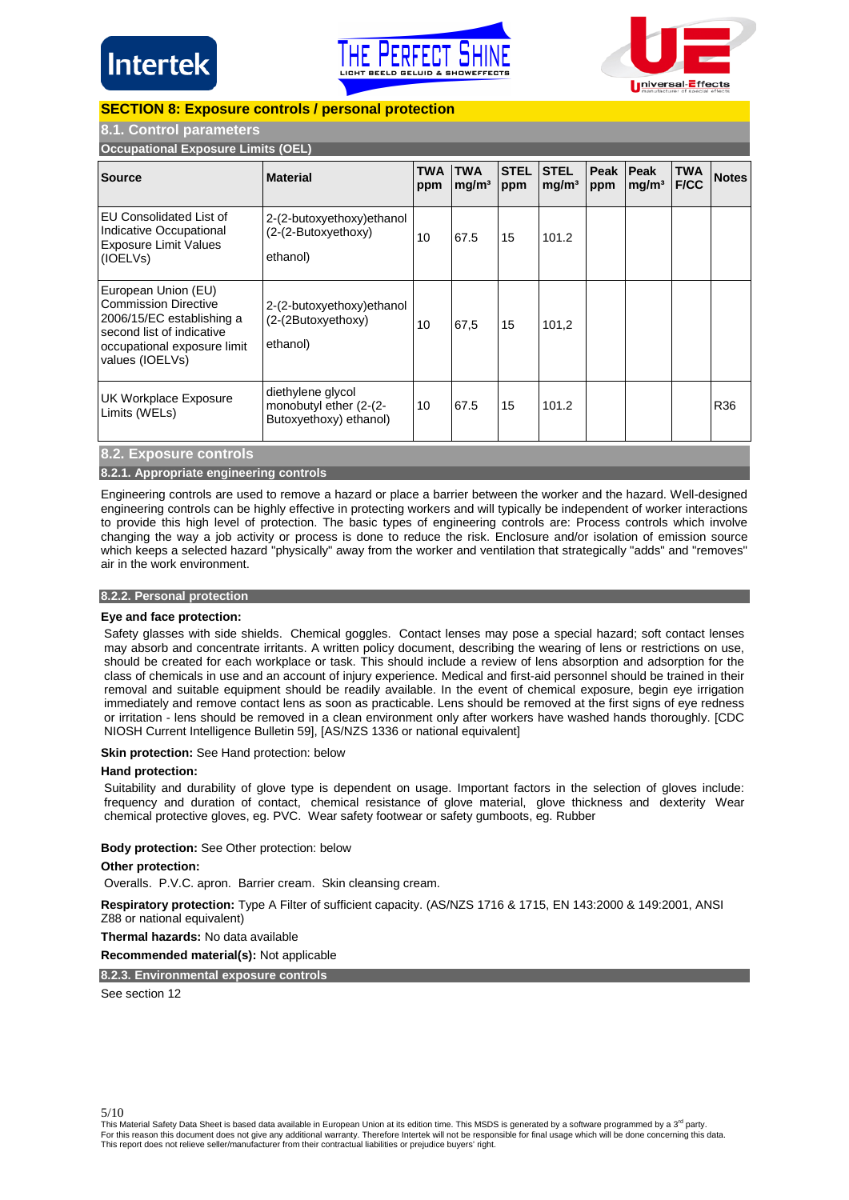





# **SECTION 8: Exposure controls / personal protection**

# **8.1. Control parameters**

**Occupational Exposure Limits (OEL)**

| Occupational Exposure Limits (OEL)                                                                                                                             |                                                                       |                   |                                 |                    |                                  |             |                           |                           |              |
|----------------------------------------------------------------------------------------------------------------------------------------------------------------|-----------------------------------------------------------------------|-------------------|---------------------------------|--------------------|----------------------------------|-------------|---------------------------|---------------------------|--------------|
| <b>Source</b>                                                                                                                                                  | <b>Material</b>                                                       | <b>TWA</b><br>ppm | <b>TWA</b><br>mg/m <sup>3</sup> | <b>STEL</b><br>ppm | <b>STEL</b><br>mg/m <sup>3</sup> | Peak<br>ppm | Peak<br>mq/m <sup>3</sup> | <b>TWA</b><br><b>F/CC</b> | <b>Notes</b> |
| EU Consolidated List of<br>Indicative Occupational<br><b>Exposure Limit Values</b><br>(IOELVs)                                                                 | 2-(2-butoxyethoxy) ethanol<br>(2-(2-Butoxyethoxy)<br>ethanol)         | 10                | 67.5                            | 15                 | 101.2                            |             |                           |                           |              |
| European Union (EU)<br><b>Commission Directive</b><br>2006/15/EC establishing a<br>second list of indicative<br>occupational exposure limit<br>values (IOELVs) | 2-(2-butoxyethoxy) ethanol<br>(2-(2Butoxyethoxy)<br>ethanol)          | 10                | 67,5                            | 15                 | 101.2                            |             |                           |                           |              |
| UK Workplace Exposure<br>Limits (WELs)                                                                                                                         | diethylene glycol<br>monobutyl ether (2-(2-<br>Butoxyethoxy) ethanol) | 10                | 67.5                            | 15                 | 101.2                            |             |                           |                           | R36          |
| 8.2. Exposure controls                                                                                                                                         |                                                                       |                   |                                 |                    |                                  |             |                           |                           |              |
| 8.2.1. Appropriate engineering controls                                                                                                                        |                                                                       |                   |                                 |                    |                                  |             |                           |                           |              |

Engineering controls are used to remove a hazard or place a barrier between the worker and the hazard. Well-designed engineering controls can be highly effective in protecting workers and will typically be independent of worker interactions to provide this high level of protection. The basic types of engineering controls are: Process controls which involve changing the way a job activity or process is done to reduce the risk. Enclosure and/or isolation of emission source which keeps a selected hazard "physically" away from the worker and ventilation that strategically "adds" and "removes" air in the work environment.

### **8.2.2. Personal protection**

# **Eye and face protection:**

Safety glasses with side shields. Chemical goggles. Contact lenses may pose a special hazard; soft contact lenses may absorb and concentrate irritants. A written policy document, describing the wearing of lens or restrictions on use, should be created for each workplace or task. This should include a review of lens absorption and adsorption for the class of chemicals in use and an account of injury experience. Medical and first-aid personnel should be trained in their removal and suitable equipment should be readily available. In the event of chemical exposure, begin eye irrigation immediately and remove contact lens as soon as practicable. Lens should be removed at the first signs of eye redness or irritation - lens should be removed in a clean environment only after workers have washed hands thoroughly. [CDC NIOSH Current Intelligence Bulletin 59], [AS/NZS 1336 or national equivalent]

### **Skin protection:** See Hand protection: below

# **Hand protection:**

Suitability and durability of glove type is dependent on usage. Important factors in the selection of gloves include: frequency and duration of contact, chemical resistance of glove material, glove thickness and dexterity Wear chemical protective gloves, eg. PVC. Wear safety footwear or safety gumboots, eg. Rubber

### **Body protection:** See Other protection: below

### **Other protection:**

Overalls. P.V.C. apron. Barrier cream. Skin cleansing cream.

**Respiratory protection:** Type A Filter of sufficient capacity. (AS/NZS 1716 & 1715, EN 143:2000 & 149:2001, ANSI Z88 or national equivalent)

**Thermal hazards:** No data available

**Recommended material(s):** Not applicable

# **8.2.3. Environmental exposure controls**

See section 12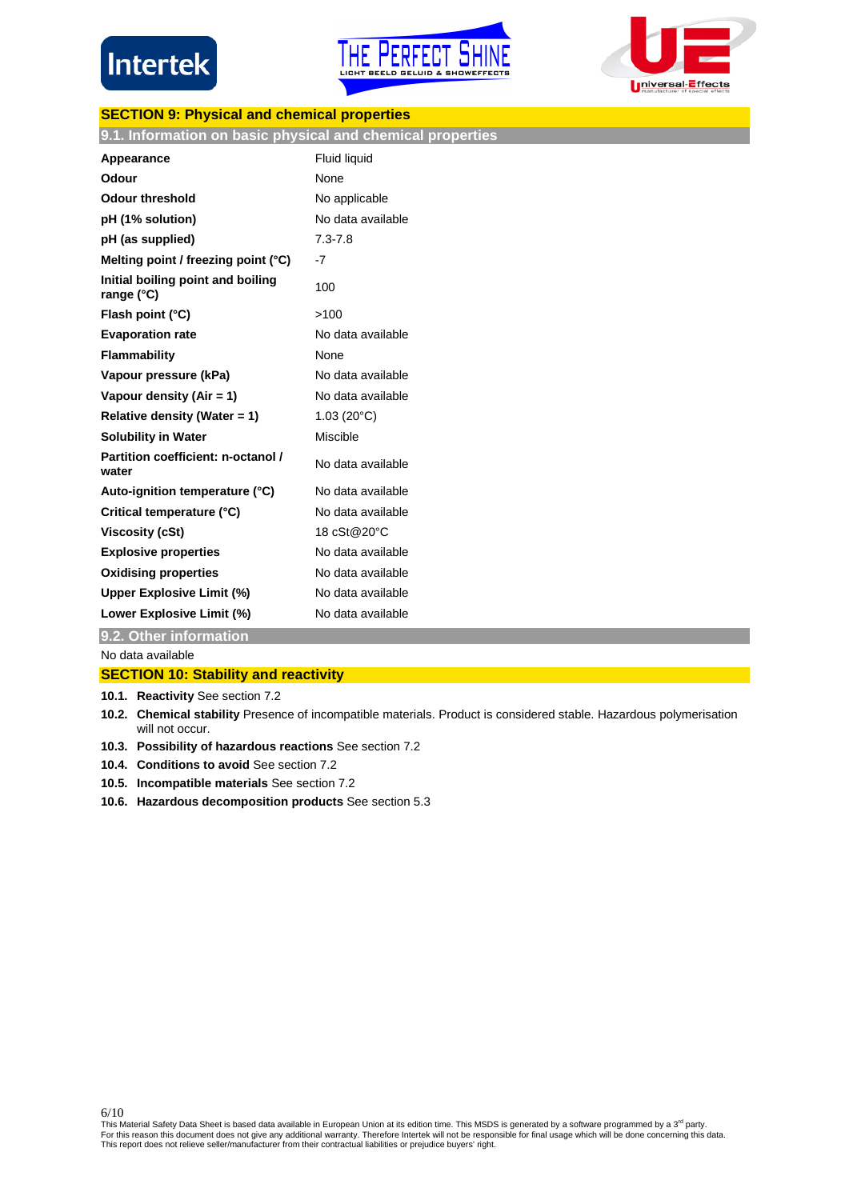





# **SECTION 9: Physical and chemical properties**

| 9.1. Information on basic physical and chemical properties |  |  |
|------------------------------------------------------------|--|--|
|                                                            |  |  |

| Appearance                                        | <b>Fluid liquid</b> |
|---------------------------------------------------|---------------------|
| Odour                                             | None                |
| Odour threshold                                   | No applicable       |
| pH (1% solution)                                  | No data available   |
| pH (as supplied)                                  | $7.3 - 7.8$         |
| Melting point / freezing point $(°C)$             | $-7$                |
| Initial boiling point and boiling<br>range $(°C)$ | 100                 |
| Flash point (°C)                                  | >100                |
| <b>Evaporation rate</b>                           | No data available   |
| Flammability                                      | None                |
| Vapour pressure (kPa)                             | No data available   |
| Vapour density (Air = 1)                          | No data available   |
| Relative density (Water = 1)                      | $1.03(20^{\circ}C)$ |
| <b>Solubility in Water</b>                        | Miscible            |
| Partition coefficient: n-octanol /<br>water       | No data available   |
| Auto-ignition temperature (°C)                    | No data available   |
| Critical temperature (°C)                         | No data available   |
| Viscosity (cSt)                                   | 18 cSt@20°C         |
| <b>Explosive properties</b>                       | No data available   |
| <b>Oxidising properties</b>                       | No data available   |
| Upper Explosive Limit (%)                         | No data available   |
| Lower Explosive Limit (%)                         | No data available   |

**9.2. Other information**

No data available

6/10

# **SECTION 10: Stability and reactivity**

- **10.1. Reactivity** See section 7.2
- **10.2. Chemical stability** Presence of incompatible materials. Product is considered stable. Hazardous polymerisation will not occur.
- **10.3. Possibility of hazardous reactions** See section 7.2
- **10.4. Conditions to avoid** See section 7.2
- **10.5. Incompatible materials** See section 7.2
- **10.6. Hazardous decomposition products** See section 5.3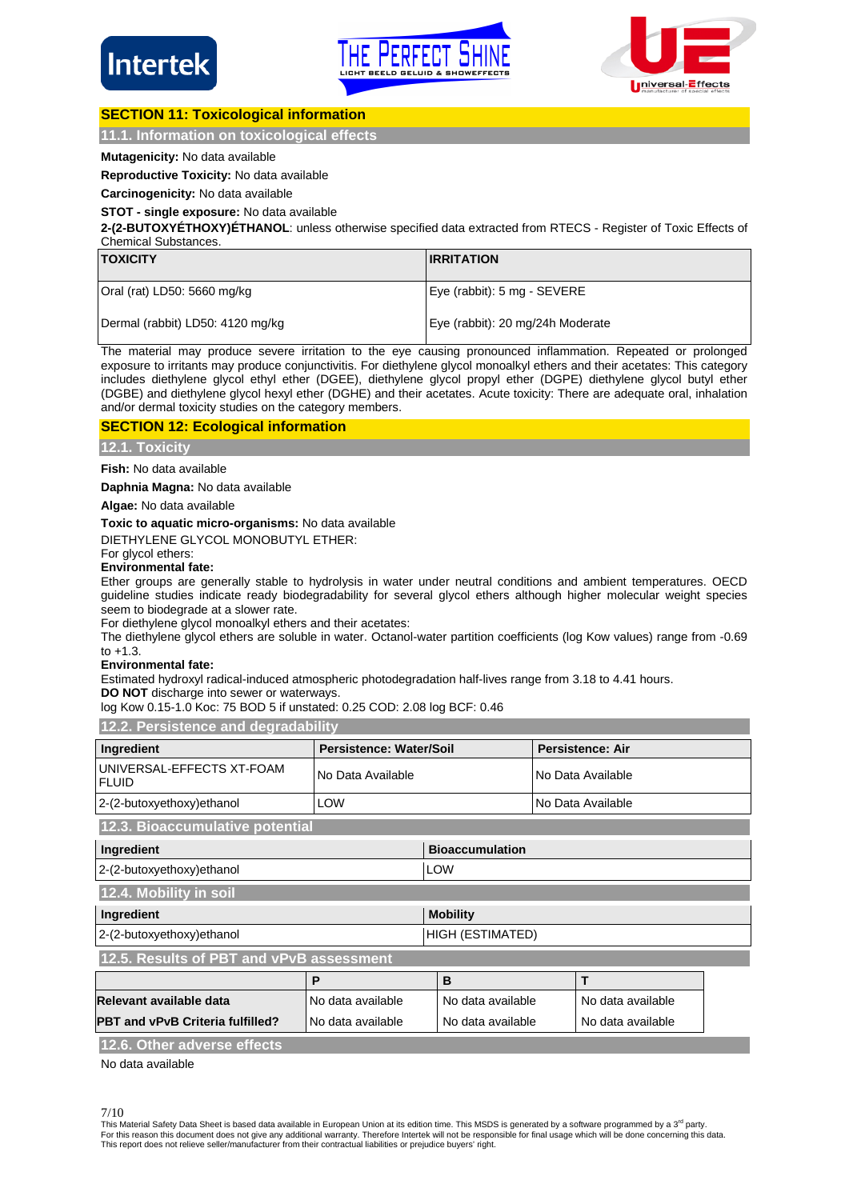





# **SECTION 11: Toxicological information**

# **11.1. Information on toxicological effects**

# **Mutagenicity:** No data available

**Reproductive Toxicity:** No data available

**Carcinogenicity:** No data available

# **STOT - single exposure:** No data available

**2-(2-BUTOXYÉTHOXY)ÉTHANOL**: unless otherwise specified data extracted from RTECS - Register of Toxic Effects of Chemical Substances.

| <b>TOXICITY</b>                  | <b>IRRITATION</b>                |
|----------------------------------|----------------------------------|
| Oral (rat) LD50: 5660 mg/kg      | Eye (rabbit): 5 mg - SEVERE      |
| Dermal (rabbit) LD50: 4120 mg/kg | Eye (rabbit): 20 mg/24h Moderate |

The material may produce severe irritation to the eye causing pronounced inflammation. Repeated or prolonged exposure to irritants may produce conjunctivitis. For diethylene glycol monoalkyl ethers and their acetates: This category includes diethylene glycol ethyl ether (DGEE), diethylene glycol propyl ether (DGPE) diethylene glycol butyl ether (DGBE) and diethylene glycol hexyl ether (DGHE) and their acetates. Acute toxicity: There are adequate oral, inhalation and/or dermal toxicity studies on the category members.

# **SECTION 12: Ecological information**

**12.1. Toxicity**

**Fish:** No data available

**Daphnia Magna:** No data available

**Algae:** No data available

# **Toxic to aquatic micro-organisms:** No data available

DIETHYLENE GLYCOL MONOBUTYL ETHER:

# For glycol ethers:

# **Environmental fate:**

Ether groups are generally stable to hydrolysis in water under neutral conditions and ambient temperatures. OECD guideline studies indicate ready biodegradability for several glycol ethers although higher molecular weight species seem to biodegrade at a slower rate.

For diethylene glycol monoalkyl ethers and their acetates:

The diethylene glycol ethers are soluble in water. Octanol-water partition coefficients (log Kow values) range from -0.69 to +1.3.

### **Environmental fate:**

Estimated hydroxyl radical-induced atmospheric photodegradation half-lives range from 3.18 to 4.41 hours.

**DO NOT** discharge into sewer or waterways.

log Kow 0.15-1.0 Koc: 75 BOD 5 if unstated: 0.25 COD: 2.08 log BCF: 0.46

**12.2. Persistence and degradability**

| Ingredient                                                   | Persistence: Water/Soil |                        |  | <b>Persistence: Air</b> |  |
|--------------------------------------------------------------|-------------------------|------------------------|--|-------------------------|--|
| UNIVERSAL-EFFECTS XT-FOAM<br><b>FLUID</b>                    | No Data Available       |                        |  | No Data Available       |  |
| 2-(2-butoxyethoxy)ethanol                                    | LOW                     |                        |  | No Data Available       |  |
| 12.3. Bioaccumulative potential                              |                         |                        |  |                         |  |
| Ingredient                                                   |                         | <b>Bioaccumulation</b> |  |                         |  |
| 2-(2-butoxyethoxy)ethanol                                    |                         | <b>LOW</b>             |  |                         |  |
| 12.4. Mobility in soil                                       |                         |                        |  |                         |  |
| Ingredient                                                   |                         | <b>Mobility</b>        |  |                         |  |
| 2-(2-butoxyethoxy)ethanol                                    |                         | HIGH (ESTIMATED)       |  |                         |  |
| 12.5. Results of PBT and vPvB assessment                     |                         |                        |  |                         |  |
|                                                              | P                       | B                      |  | T                       |  |
| Relevant available data                                      | No data available       | No data available      |  | No data available       |  |
| <b>PBT and vPvB Criteria fulfilled?</b><br>No data available |                         | No data available      |  | No data available       |  |
| 12.6. Other adverse effects                                  |                         |                        |  |                         |  |

No data available

This Material Safety Data Sheet is based data available in European Union at its edition time. This MSDS is generated by a software programmed by a 3<sup>rd</sup> party. For this reason this document does not give any additional warranty. Therefore Intertek will not be responsible for final usage which will be done concerning this data.<br>This report does not relieve seller/manufacturer from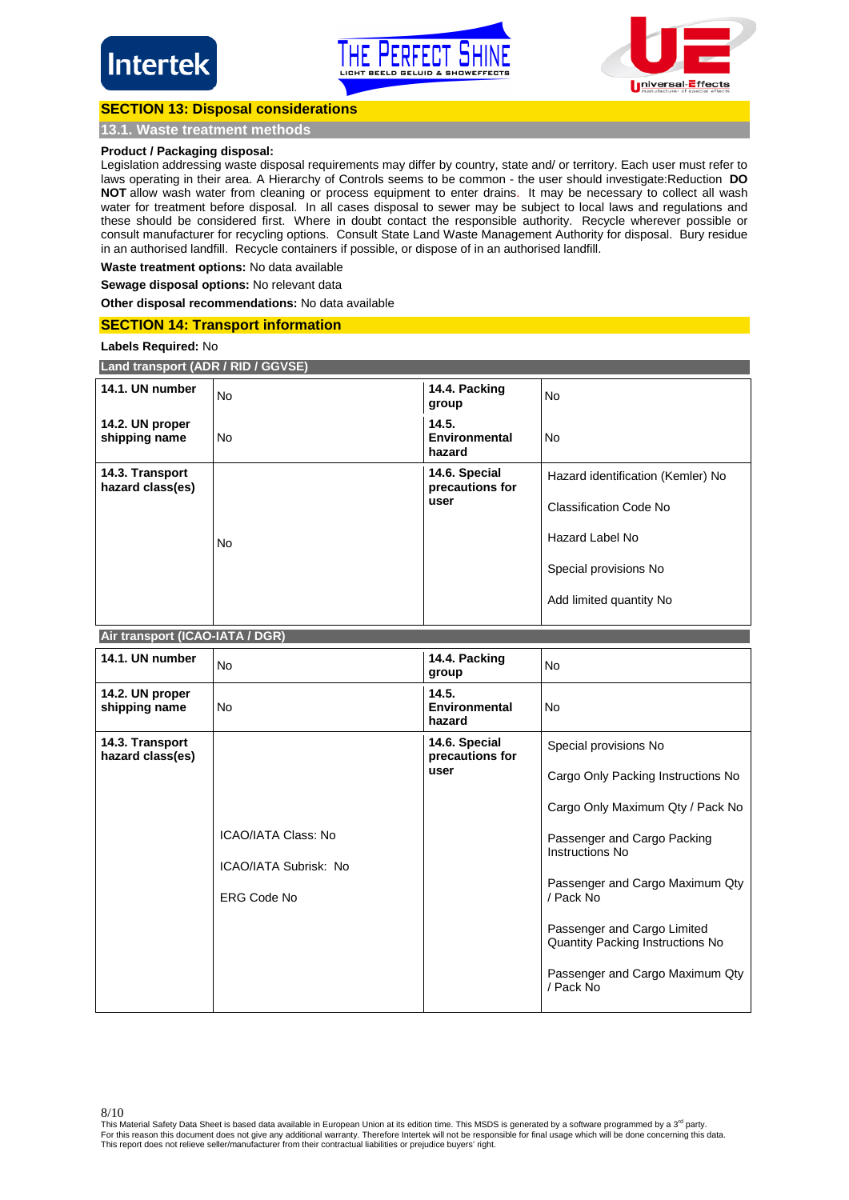





# **SECTION 13: Disposal considerations**

**13.1. Waste treatment methods**

# **Product / Packaging disposal:**

Legislation addressing waste disposal requirements may differ by country, state and/ or territory. Each user must refer to laws operating in their area. A Hierarchy of Controls seems to be common - the user should investigate:Reduction **DO NOT** allow wash water from cleaning or process equipment to enter drains. It may be necessary to collect all wash water for treatment before disposal. In all cases disposal to sewer may be subject to local laws and regulations and these should be considered first. Where in doubt contact the responsible authority. Recycle wherever possible or consult manufacturer for recycling options. Consult State Land Waste Management Authority for disposal. Bury residue in an authorised landfill. Recycle containers if possible, or dispose of in an authorised landfill.

**Waste treatment options:** No data available

**Sewage disposal options:** No relevant data

**Other disposal recommendations:** No data available

# **SECTION 14: Transport information**

**Land transport (ADR / RID / GGVSE)** 

**Labels Required:** No

| 14.1. UN number<br><b>No</b> | TLANG transport (ADR / RID / GGVSE) |  |  |  |  |  |  |
|------------------------------|-------------------------------------|--|--|--|--|--|--|
|                              |                                     |  |  |  |  |  |  |

| 14.1. UN number                     | <b>No</b> | 14.4. Packing<br>group                  | <b>No</b>                         |
|-------------------------------------|-----------|-----------------------------------------|-----------------------------------|
| 14.2. UN proper<br>shipping name    | <b>No</b> | 14.5.<br><b>Environmental</b><br>hazard | <b>No</b>                         |
| 14.3. Transport<br>hazard class(es) |           | 14.6. Special<br>precautions for        | Hazard identification (Kemler) No |
|                                     |           | user                                    | Classification Code No            |
|                                     | No        |                                         | Hazard Label No                   |
|                                     |           |                                         | Special provisions No             |
|                                     |           |                                         | Add limited quantity No           |

### **Air transport (ICAO-IATA / DGR)**

| 14.1. UN number                     | <b>No</b>                                                                 | 14.4. Packing<br>group                   | <b>No</b>                                                                                                                                                                                                                                                                                                            |
|-------------------------------------|---------------------------------------------------------------------------|------------------------------------------|----------------------------------------------------------------------------------------------------------------------------------------------------------------------------------------------------------------------------------------------------------------------------------------------------------------------|
| 14.2. UN proper<br>shipping name    | No                                                                        | 14.5.<br>Environmental<br>hazard         | <b>No</b>                                                                                                                                                                                                                                                                                                            |
| 14.3. Transport<br>hazard class(es) | <b>ICAO/IATA Class: No</b><br>ICAO/IATA Subrisk: No<br><b>ERG Code No</b> | 14.6. Special<br>precautions for<br>user | Special provisions No<br>Cargo Only Packing Instructions No<br>Cargo Only Maximum Qty / Pack No<br>Passenger and Cargo Packing<br>Instructions No<br>Passenger and Cargo Maximum Qty<br>/ Pack No<br>Passenger and Cargo Limited<br>Quantity Packing Instructions No<br>Passenger and Cargo Maximum Qty<br>/ Pack No |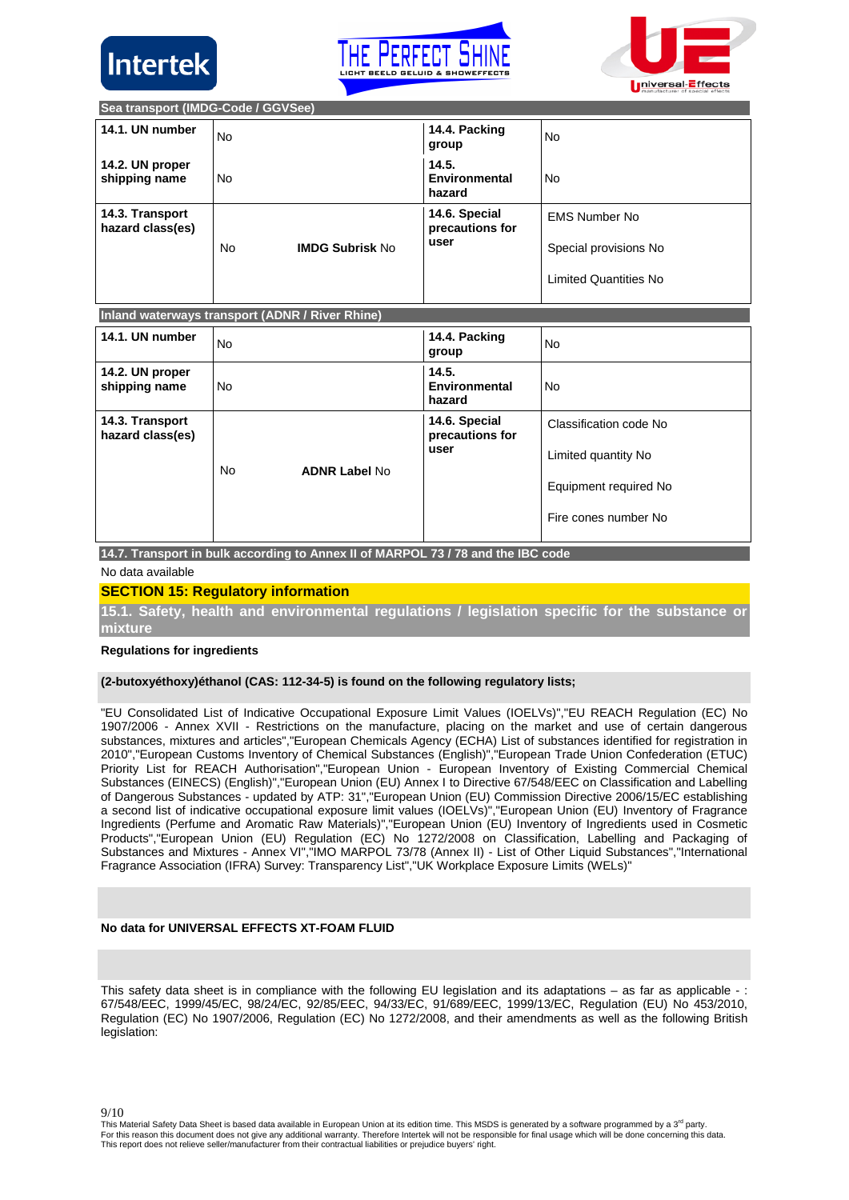





**Sea transport (IMDG-Code / GGVSee)**

| 14.1. UN number                     | No |                        | 14.4. Packing<br>group                   | No                                                                            |
|-------------------------------------|----|------------------------|------------------------------------------|-------------------------------------------------------------------------------|
| 14.2. UN proper<br>shipping name    | No |                        | 14.5.<br>Environmental<br>hazard         | No.                                                                           |
| 14.3. Transport<br>hazard class(es) | No | <b>IMDG Subrisk No</b> | 14.6. Special<br>precautions for<br>user | <b>EMS Number No</b><br>Special provisions No<br><b>Limited Quantities No</b> |

# **Inland waterways transport (ADNR / River Rhine)**

| 14.1. UN number                     | <b>No</b> |                      | 14.4. Packing<br>group           | <b>No</b>              |
|-------------------------------------|-----------|----------------------|----------------------------------|------------------------|
| 14.2. UN proper<br>shipping name    | <b>No</b> |                      | 14.5.<br>Environmental<br>hazard | <b>No</b>              |
| 14.3. Transport<br>hazard class(es) |           |                      | 14.6. Special<br>precautions for | Classification code No |
|                                     | <b>No</b> | <b>ADNR Label No</b> | user                             | Limited quantity No    |
|                                     |           |                      |                                  | Equipment required No  |
|                                     |           |                      |                                  | Fire cones number No   |

**14.7. Transport in bulk according to Annex II of MARPOL 73 / 78 and the IBC code**

No data available

# **SECTION 15: Regulatory information**

**15.1. Safety, health and environmental regulations / legislation specific for the substance or mixture**

### **Regulations for ingredients**

# **(2-butoxyéthoxy)éthanol (CAS: 112-34-5) is found on the following regulatory lists;**

"EU Consolidated List of Indicative Occupational Exposure Limit Values (IOELVs)","EU REACH Regulation (EC) No 1907/2006 - Annex XVII - Restrictions on the manufacture, placing on the market and use of certain dangerous substances, mixtures and articles","European Chemicals Agency (ECHA) List of substances identified for registration in 2010","European Customs Inventory of Chemical Substances (English)","European Trade Union Confederation (ETUC) Priority List for REACH Authorisation","European Union - European Inventory of Existing Commercial Chemical Substances (EINECS) (English)","European Union (EU) Annex I to Directive 67/548/EEC on Classification and Labelling of Dangerous Substances - updated by ATP: 31","European Union (EU) Commission Directive 2006/15/EC establishing a second list of indicative occupational exposure limit values (IOELVs)","European Union (EU) Inventory of Fragrance Ingredients (Perfume and Aromatic Raw Materials)","European Union (EU) Inventory of Ingredients used in Cosmetic Products","European Union (EU) Regulation (EC) No 1272/2008 on Classification, Labelling and Packaging of Substances and Mixtures - Annex VI","IMO MARPOL 73/78 (Annex II) - List of Other Liquid Substances","International Fragrance Association (IFRA) Survey: Transparency List","UK Workplace Exposure Limits (WELs)"

# **No data for UNIVERSAL EFFECTS XT-FOAM FLUID**

This safety data sheet is in compliance with the following EU legislation and its adaptations – as far as applicable -: 67/548/EEC, 1999/45/EC, 98/24/EC, 92/85/EEC, 94/33/EC, 91/689/EEC, 1999/13/EC, Regulation (EU) No 453/2010, Regulation (EC) No 1907/2006, Regulation (EC) No 1272/2008, and their amendments as well as the following British legislation:

This Material Safety Data Sheet is based data available in European Union at its edition time. This MSDS is generated by a software programmed by a 3<sup>rd</sup> party. For this reason this document does not give any additional warranty. Therefore Intertek will not be responsible for final usage which will be done concerning this data.<br>This report does not relieve seller/manufacturer from